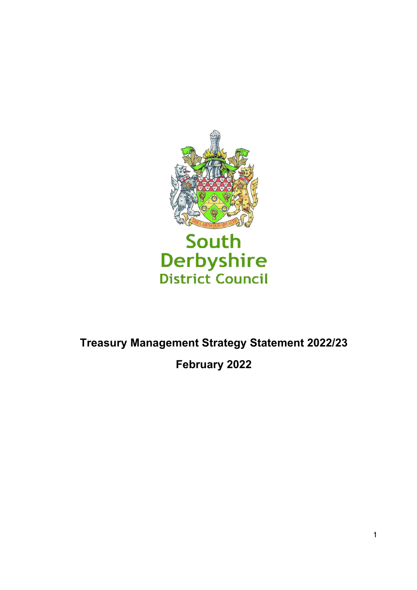

# South Derbyshire<br>District Council

# **Treasury Management Strategy Statement 2022/23 February 2022**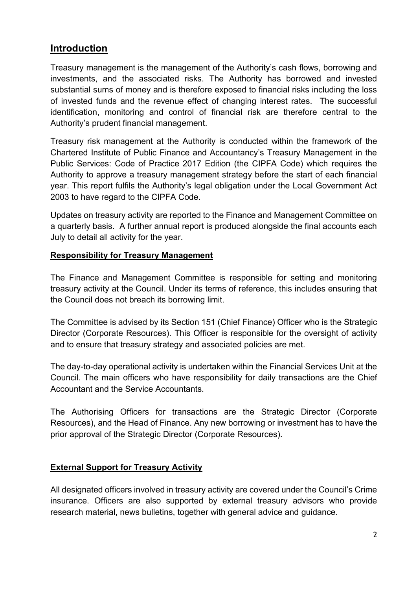## **Introduction**

Treasury management is the management of the Authority's cash flows, borrowing and investments, and the associated risks. The Authority has borrowed and invested substantial sums of money and is therefore exposed to financial risks including the loss of invested funds and the revenue effect of changing interest rates. The successful identification, monitoring and control of financial risk are therefore central to the Authority's prudent financial management.

Treasury risk management at the Authority is conducted within the framework of the Chartered Institute of Public Finance and Accountancy's Treasury Management in the Public Services: Code of Practice 2017 Edition (the CIPFA Code) which requires the Authority to approve a treasury management strategy before the start of each financial year. This report fulfils the Authority's legal obligation under the Local Government Act 2003 to have regard to the CIPFA Code.

Updates on treasury activity are reported to the Finance and Management Committee on a quarterly basis. A further annual report is produced alongside the final accounts each July to detail all activity for the year.

#### **Responsibility for Treasury Management**

The Finance and Management Committee is responsible for setting and monitoring treasury activity at the Council. Under its terms of reference, this includes ensuring that the Council does not breach its borrowing limit.

The Committee is advised by its Section 151 (Chief Finance) Officer who is the Strategic Director (Corporate Resources). This Officer is responsible for the oversight of activity and to ensure that treasury strategy and associated policies are met.

The day-to-day operational activity is undertaken within the Financial Services Unit at the Council. The main officers who have responsibility for daily transactions are the Chief Accountant and the Service Accountants.

The Authorising Officers for transactions are the Strategic Director (Corporate Resources), and the Head of Finance. Any new borrowing or investment has to have the prior approval of the Strategic Director (Corporate Resources).

#### **External Support for Treasury Activity**

All designated officers involved in treasury activity are covered under the Council's Crime insurance. Officers are also supported by external treasury advisors who provide research material, news bulletins, together with general advice and guidance.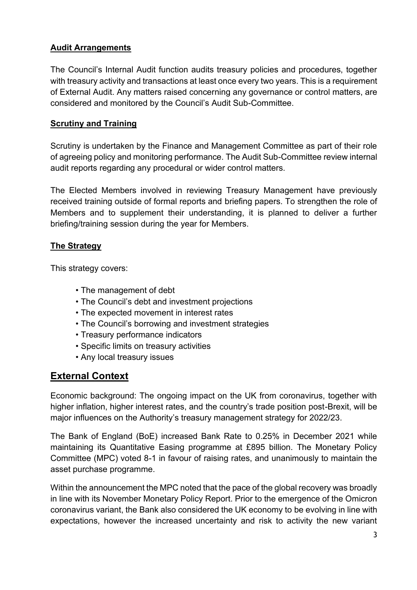#### **Audit Arrangements**

The Council's Internal Audit function audits treasury policies and procedures, together with treasury activity and transactions at least once every two years. This is a requirement of External Audit. Any matters raised concerning any governance or control matters, are considered and monitored by the Council's Audit Sub-Committee.

#### **Scrutiny and Training**

Scrutiny is undertaken by the Finance and Management Committee as part of their role of agreeing policy and monitoring performance. The Audit Sub-Committee review internal audit reports regarding any procedural or wider control matters.

The Elected Members involved in reviewing Treasury Management have previously received training outside of formal reports and briefing papers. To strengthen the role of Members and to supplement their understanding, it is planned to deliver a further briefing/training session during the year for Members.

#### **The Strategy**

This strategy covers:

- The management of debt
- The Council's debt and investment projections
- The expected movement in interest rates
- The Council's borrowing and investment strategies
- Treasury performance indicators
- Specific limits on treasury activities
- Any local treasury issues

# **External Context**

Economic background: The ongoing impact on the UK from coronavirus, together with higher inflation, higher interest rates, and the country's trade position post-Brexit, will be major influences on the Authority's treasury management strategy for 2022/23.

The Bank of England (BoE) increased Bank Rate to 0.25% in December 2021 while maintaining its Quantitative Easing programme at £895 billion. The Monetary Policy Committee (MPC) voted 8-1 in favour of raising rates, and unanimously to maintain the asset purchase programme.

Within the announcement the MPC noted that the pace of the global recovery was broadly in line with its November Monetary Policy Report. Prior to the emergence of the Omicron coronavirus variant, the Bank also considered the UK economy to be evolving in line with expectations, however the increased uncertainty and risk to activity the new variant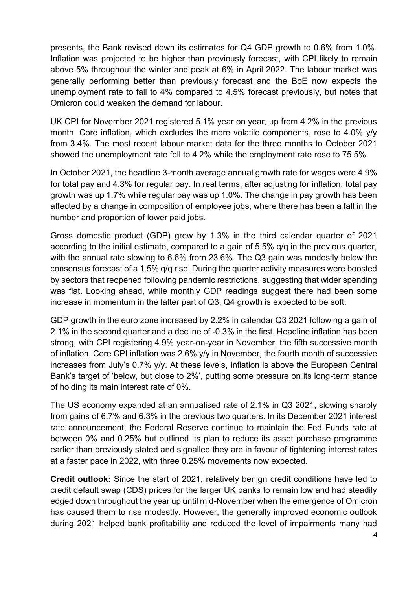presents, the Bank revised down its estimates for Q4 GDP growth to 0.6% from 1.0%. Inflation was projected to be higher than previously forecast, with CPI likely to remain above 5% throughout the winter and peak at 6% in April 2022. The labour market was generally performing better than previously forecast and the BoE now expects the unemployment rate to fall to 4% compared to 4.5% forecast previously, but notes that Omicron could weaken the demand for labour.

UK CPI for November 2021 registered 5.1% year on year, up from 4.2% in the previous month. Core inflation, which excludes the more volatile components, rose to 4.0% y/y from 3.4%. The most recent labour market data for the three months to October 2021 showed the unemployment rate fell to 4.2% while the employment rate rose to 75.5%.

In October 2021, the headline 3-month average annual growth rate for wages were 4.9% for total pay and 4.3% for regular pay. In real terms, after adjusting for inflation, total pay growth was up 1.7% while regular pay was up 1.0%. The change in pay growth has been affected by a change in composition of employee jobs, where there has been a fall in the number and proportion of lower paid jobs.

Gross domestic product (GDP) grew by 1.3% in the third calendar quarter of 2021 according to the initial estimate, compared to a gain of 5.5% q/q in the previous quarter, with the annual rate slowing to 6.6% from 23.6%. The Q3 gain was modestly below the consensus forecast of a 1.5% q/q rise. During the quarter activity measures were boosted by sectors that reopened following pandemic restrictions, suggesting that wider spending was flat. Looking ahead, while monthly GDP readings suggest there had been some increase in momentum in the latter part of Q3, Q4 growth is expected to be soft.

GDP growth in the euro zone increased by 2.2% in calendar Q3 2021 following a gain of 2.1% in the second quarter and a decline of -0.3% in the first. Headline inflation has been strong, with CPI registering 4.9% year-on-year in November, the fifth successive month of inflation. Core CPI inflation was 2.6% y/y in November, the fourth month of successive increases from July's 0.7% y/y. At these levels, inflation is above the European Central Bank's target of 'below, but close to 2%', putting some pressure on its long-term stance of holding its main interest rate of 0%.

The US economy expanded at an annualised rate of 2.1% in Q3 2021, slowing sharply from gains of 6.7% and 6.3% in the previous two quarters. In its December 2021 interest rate announcement, the Federal Reserve continue to maintain the Fed Funds rate at between 0% and 0.25% but outlined its plan to reduce its asset purchase programme earlier than previously stated and signalled they are in favour of tightening interest rates at a faster pace in 2022, with three 0.25% movements now expected.

**Credit outlook:** Since the start of 2021, relatively benign credit conditions have led to credit default swap (CDS) prices for the larger UK banks to remain low and had steadily edged down throughout the year up until mid-November when the emergence of Omicron has caused them to rise modestly. However, the generally improved economic outlook during 2021 helped bank profitability and reduced the level of impairments many had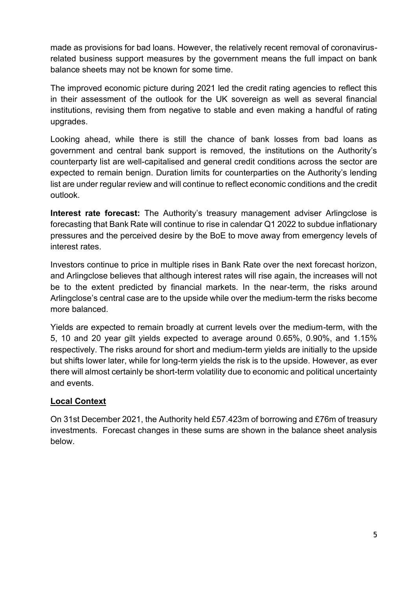made as provisions for bad loans. However, the relatively recent removal of coronavirusrelated business support measures by the government means the full impact on bank balance sheets may not be known for some time.

The improved economic picture during 2021 led the credit rating agencies to reflect this in their assessment of the outlook for the UK sovereign as well as several financial institutions, revising them from negative to stable and even making a handful of rating upgrades.

Looking ahead, while there is still the chance of bank losses from bad loans as government and central bank support is removed, the institutions on the Authority's counterparty list are well-capitalised and general credit conditions across the sector are expected to remain benign. Duration limits for counterparties on the Authority's lending list are under regular review and will continue to reflect economic conditions and the credit outlook.

**Interest rate forecast:** The Authority's treasury management adviser Arlingclose is forecasting that Bank Rate will continue to rise in calendar Q1 2022 to subdue inflationary pressures and the perceived desire by the BoE to move away from emergency levels of interest rates.

Investors continue to price in multiple rises in Bank Rate over the next forecast horizon, and Arlingclose believes that although interest rates will rise again, the increases will not be to the extent predicted by financial markets. In the near-term, the risks around Arlingclose's central case are to the upside while over the medium-term the risks become more balanced.

Yields are expected to remain broadly at current levels over the medium-term, with the 5, 10 and 20 year gilt yields expected to average around 0.65%, 0.90%, and 1.15% respectively. The risks around for short and medium-term yields are initially to the upside but shifts lower later, while for long-term yields the risk is to the upside. However, as ever there will almost certainly be short-term volatility due to economic and political uncertainty and events.

#### **Local Context**

On 31st December 2021, the Authority held £57.423m of borrowing and £76m of treasury investments. Forecast changes in these sums are shown in the balance sheet analysis below.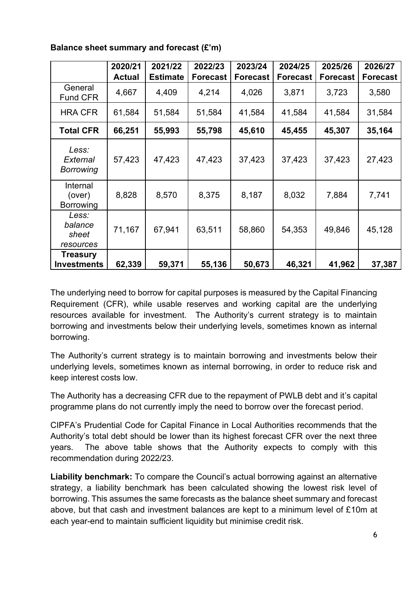|                                        | 2020/21       | 2021/22         | 2022/23         | 2023/24         | 2024/25         | 2025/26         | 2026/27         |
|----------------------------------------|---------------|-----------------|-----------------|-----------------|-----------------|-----------------|-----------------|
|                                        | <b>Actual</b> | <b>Estimate</b> | <b>Forecast</b> | <b>Forecast</b> | <b>Forecast</b> | <b>Forecast</b> | <b>Forecast</b> |
| General<br><b>Fund CFR</b>             | 4,667         | 4,409           | 4,214           | 4,026           | 3,871           | 3,723           | 3,580           |
| <b>HRA CFR</b>                         | 61,584        | 51,584          | 51,584          | 41,584          | 41,584          | 41,584          | 31,584          |
| <b>Total CFR</b>                       | 66,251        | 55,993          | 55,798          | 45,610          | 45,455          | 45,307          | 35,164          |
| Less:<br>External<br><b>Borrowing</b>  | 57,423        | 47,423          | 47,423          | 37,423          | 37,423          | 37,423          | 27,423          |
| Internal<br>(over)<br><b>Borrowing</b> | 8,828         | 8,570           | 8,375           | 8,187           | 8,032           | 7,884           | 7,741           |
| Less:<br>balance<br>sheet<br>resources | 71,167        | 67,941          | 63,511          | 58,860          | 54,353          | 49,846          | 45,128          |
| <b>Treasury</b><br><b>Investments</b>  | 62,339        | 59,371          | 55,136          | 50,673          | 46,321          | 41,962          | 37,387          |

**Balance sheet summary and forecast (£'m)**

The underlying need to borrow for capital purposes is measured by the Capital Financing Requirement (CFR), while usable reserves and working capital are the underlying resources available for investment. The Authority's current strategy is to maintain borrowing and investments below their underlying levels, sometimes known as internal borrowing.

The Authority's current strategy is to maintain borrowing and investments below their underlying levels, sometimes known as internal borrowing, in order to reduce risk and keep interest costs low.

The Authority has a decreasing CFR due to the repayment of PWLB debt and it's capital programme plans do not currently imply the need to borrow over the forecast period.

CIPFA's Prudential Code for Capital Finance in Local Authorities recommends that the Authority's total debt should be lower than its highest forecast CFR over the next three years. The above table shows that the Authority expects to comply with this recommendation during 2022/23.

**Liability benchmark:** To compare the Council's actual borrowing against an alternative strategy, a liability benchmark has been calculated showing the lowest risk level of borrowing. This assumes the same forecasts as the balance sheet summary and forecast above, but that cash and investment balances are kept to a minimum level of £10m at each year-end to maintain sufficient liquidity but minimise credit risk.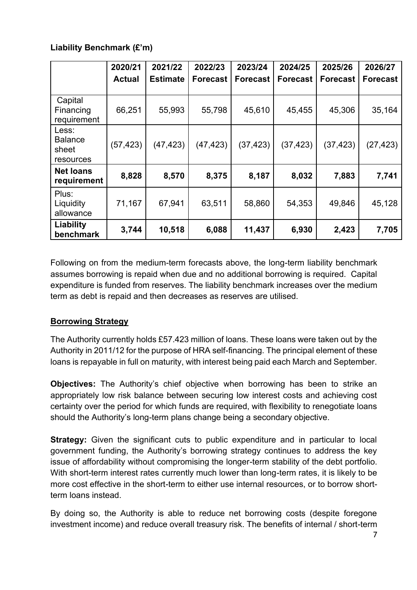#### **Liability Benchmark (£'m)**

|                                               | 2020/21<br><b>Actual</b> | 2021/22<br><b>Estimate</b> | 2022/23<br><b>Forecast</b> | 2023/24<br><b>Forecast</b> | 2024/25<br><b>Forecast</b> | 2025/26<br><b>Forecast</b> | 2026/27<br><b>Forecast</b> |
|-----------------------------------------------|--------------------------|----------------------------|----------------------------|----------------------------|----------------------------|----------------------------|----------------------------|
| Capital<br>Financing<br>requirement           | 66,251                   | 55,993                     | 55,798                     | 45,610                     | 45,455                     | 45,306                     | 35,164                     |
| Less:<br><b>Balance</b><br>sheet<br>resources | (57, 423)                | (47, 423)                  | (47, 423)                  | (37, 423)                  | (37, 423)                  | (37, 423)                  | (27, 423)                  |
| <b>Net loans</b><br>requirement               | 8,828                    | 8,570                      | 8,375                      | 8,187                      | 8,032                      | 7,883                      | 7,741                      |
| Plus:<br>Liquidity<br>allowance               | 71,167                   | 67,941                     | 63,511                     | 58,860                     | 54,353                     | 49,846                     | 45,128                     |
| Liability<br>benchmark                        | 3,744                    | 10,518                     | 6,088                      | 11,437                     | 6,930                      | 2,423                      | 7,705                      |

Following on from the medium-term forecasts above, the long-term liability benchmark assumes borrowing is repaid when due and no additional borrowing is required. Capital expenditure is funded from reserves. The liability benchmark increases over the medium term as debt is repaid and then decreases as reserves are utilised.

## **Borrowing Strategy**

The Authority currently holds £57.423 million of loans. These loans were taken out by the Authority in 2011/12 for the purpose of HRA self-financing. The principal element of these loans is repayable in full on maturity, with interest being paid each March and September.

**Objectives:** The Authority's chief objective when borrowing has been to strike an appropriately low risk balance between securing low interest costs and achieving cost certainty over the period for which funds are required, with flexibility to renegotiate loans should the Authority's long-term plans change being a secondary objective.

**Strategy:** Given the significant cuts to public expenditure and in particular to local government funding, the Authority's borrowing strategy continues to address the key issue of affordability without compromising the longer-term stability of the debt portfolio. With short-term interest rates currently much lower than long-term rates, it is likely to be more cost effective in the short-term to either use internal resources, or to borrow shortterm loans instead.

By doing so, the Authority is able to reduce net borrowing costs (despite foregone investment income) and reduce overall treasury risk. The benefits of internal / short-term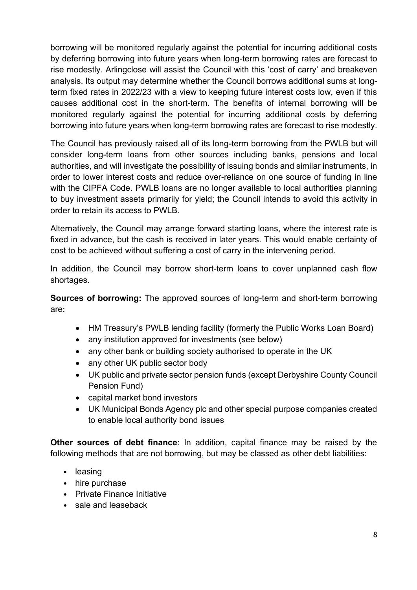borrowing will be monitored regularly against the potential for incurring additional costs by deferring borrowing into future years when long-term borrowing rates are forecast to rise modestly. Arlingclose will assist the Council with this 'cost of carry' and breakeven analysis. Its output may determine whether the Council borrows additional sums at longterm fixed rates in 2022/23 with a view to keeping future interest costs low, even if this causes additional cost in the short-term. The benefits of internal borrowing will be monitored regularly against the potential for incurring additional costs by deferring borrowing into future years when long-term borrowing rates are forecast to rise modestly.

The Council has previously raised all of its long-term borrowing from the PWLB but will consider long-term loans from other sources including banks, pensions and local authorities, and will investigate the possibility of issuing bonds and similar instruments, in order to lower interest costs and reduce over-reliance on one source of funding in line with the CIPFA Code. PWLB loans are no longer available to local authorities planning to buy investment assets primarily for yield; the Council intends to avoid this activity in order to retain its access to PWLB.

Alternatively, the Council may arrange forward starting loans, where the interest rate is fixed in advance, but the cash is received in later years. This would enable certainty of cost to be achieved without suffering a cost of carry in the intervening period.

In addition, the Council may borrow short-term loans to cover unplanned cash flow shortages.

**Sources of borrowing:** The approved sources of long-term and short-term borrowing are:

- HM Treasury's PWLB lending facility (formerly the Public Works Loan Board)
- any institution approved for investments (see below)
- any other bank or building society authorised to operate in the UK
- any other UK public sector body
- UK public and private sector pension funds (except Derbyshire County Council Pension Fund)
- capital market bond investors
- UK Municipal Bonds Agency plc and other special purpose companies created to enable local authority bond issues

**Other sources of debt finance**: In addition, capital finance may be raised by the following methods that are not borrowing, but may be classed as other debt liabilities:

- leasing
- hire purchase
- Private Finance Initiative
- sale and leaseback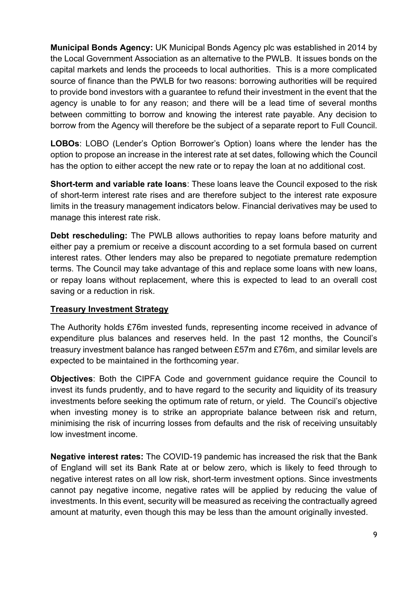**Municipal Bonds Agency:** UK Municipal Bonds Agency plc was established in 2014 by the Local Government Association as an alternative to the PWLB. It issues bonds on the capital markets and lends the proceeds to local authorities. This is a more complicated source of finance than the PWLB for two reasons: borrowing authorities will be required to provide bond investors with a guarantee to refund their investment in the event that the agency is unable to for any reason; and there will be a lead time of several months between committing to borrow and knowing the interest rate payable. Any decision to borrow from the Agency will therefore be the subject of a separate report to Full Council.

**LOBOs**: LOBO (Lender's Option Borrower's Option) loans where the lender has the option to propose an increase in the interest rate at set dates, following which the Council has the option to either accept the new rate or to repay the loan at no additional cost.

**Short-term and variable rate loans**: These loans leave the Council exposed to the risk of short-term interest rate rises and are therefore subject to the interest rate exposure limits in the treasury management indicators below. Financial derivatives may be used to manage this interest rate risk.

**Debt rescheduling:** The PWLB allows authorities to repay loans before maturity and either pay a premium or receive a discount according to a set formula based on current interest rates. Other lenders may also be prepared to negotiate premature redemption terms. The Council may take advantage of this and replace some loans with new loans, or repay loans without replacement, where this is expected to lead to an overall cost saving or a reduction in risk.

#### **Treasury Investment Strategy**

The Authority holds £76m invested funds, representing income received in advance of expenditure plus balances and reserves held. In the past 12 months, the Council's treasury investment balance has ranged between £57m and £76m, and similar levels are expected to be maintained in the forthcoming year.

**Objectives**: Both the CIPFA Code and government guidance require the Council to invest its funds prudently, and to have regard to the security and liquidity of its treasury investments before seeking the optimum rate of return, or yield. The Council's objective when investing money is to strike an appropriate balance between risk and return, minimising the risk of incurring losses from defaults and the risk of receiving unsuitably low investment income.

**Negative interest rates:** The COVID-19 pandemic has increased the risk that the Bank of England will set its Bank Rate at or below zero, which is likely to feed through to negative interest rates on all low risk, short-term investment options. Since investments cannot pay negative income, negative rates will be applied by reducing the value of investments. In this event, security will be measured as receiving the contractually agreed amount at maturity, even though this may be less than the amount originally invested.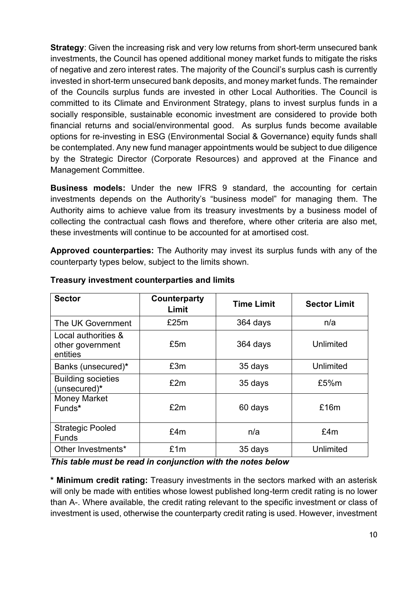**Strategy:** Given the increasing risk and very low returns from short-term unsecured bank investments, the Council has opened additional money market funds to mitigate the risks of negative and zero interest rates. The majority of the Council's surplus cash is currently invested in short-term unsecured bank deposits, and money market funds. The remainder of the Councils surplus funds are invested in other Local Authorities. The Council is committed to its Climate and Environment Strategy, plans to invest surplus funds in a socially responsible, sustainable economic investment are considered to provide both financial returns and social/environmental good. As surplus funds become available options for re-investing in ESG (Environmental Social & Governance) equity funds shall be contemplated. Any new fund manager appointments would be subject to due diligence by the Strategic Director (Corporate Resources) and approved at the Finance and Management Committee.

**Business models:** Under the new IFRS 9 standard, the accounting for certain investments depends on the Authority's "business model" for managing them. The Authority aims to achieve value from its treasury investments by a business model of collecting the contractual cash flows and therefore, where other criteria are also met, these investments will continue to be accounted for at amortised cost.

**Approved counterparties:** The Authority may invest its surplus funds with any of the counterparty types below, subject to the limits shown.

| <b>Sector</b>                                       | Counterparty<br>Limit | <b>Time Limit</b> | <b>Sector Limit</b> |
|-----------------------------------------------------|-----------------------|-------------------|---------------------|
| The UK Government                                   | £25m                  | 364 days          | n/a                 |
| Local authorities &<br>other government<br>entities | £5m                   | 364 days          | Unlimited           |
| Banks (unsecured)*                                  | £3m                   | 35 days           | Unlimited           |
| <b>Building societies</b><br>(unsecured)*           | £2m                   | 35 days           | £5%m                |
| <b>Money Market</b><br>Funds*                       | £2m                   | 60 days           | £16m                |
| <b>Strategic Pooled</b><br><b>Funds</b>             | £4m                   | n/a               | £4m                 |
| Other Investments*                                  | £1m                   | 35 days           | Unlimited           |

#### **Treasury investment counterparties and limits**

#### *This table must be read in conjunction with the notes below*

**\* Minimum credit rating:** Treasury investments in the sectors marked with an asterisk will only be made with entities whose lowest published long-term credit rating is no lower than A-. Where available, the credit rating relevant to the specific investment or class of investment is used, otherwise the counterparty credit rating is used. However, investment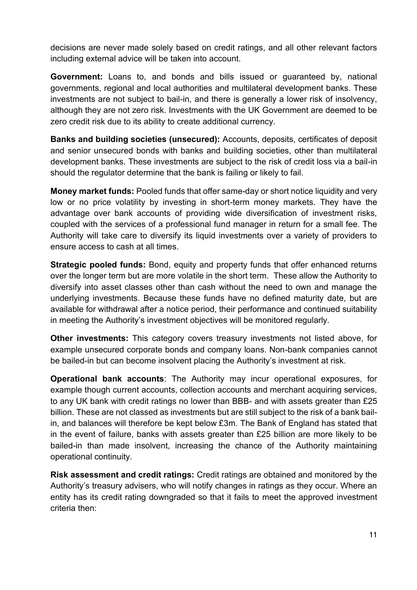decisions are never made solely based on credit ratings, and all other relevant factors including external advice will be taken into account.

**Government:** Loans to, and bonds and bills issued or guaranteed by, national governments, regional and local authorities and multilateral development banks. These investments are not subject to bail-in, and there is generally a lower risk of insolvency, although they are not zero risk. Investments with the UK Government are deemed to be zero credit risk due to its ability to create additional currency.

**Banks and building societies (unsecured):** Accounts, deposits, certificates of deposit and senior unsecured bonds with banks and building societies, other than multilateral development banks. These investments are subject to the risk of credit loss via a bail-in should the regulator determine that the bank is failing or likely to fail.

**Money market funds:** Pooled funds that offer same-day or short notice liquidity and very low or no price volatility by investing in short-term money markets. They have the advantage over bank accounts of providing wide diversification of investment risks, coupled with the services of a professional fund manager in return for a small fee. The Authority will take care to diversify its liquid investments over a variety of providers to ensure access to cash at all times.

**Strategic pooled funds:** Bond, equity and property funds that offer enhanced returns over the longer term but are more volatile in the short term. These allow the Authority to diversify into asset classes other than cash without the need to own and manage the underlying investments. Because these funds have no defined maturity date, but are available for withdrawal after a notice period, their performance and continued suitability in meeting the Authority's investment objectives will be monitored regularly.

**Other investments:** This category covers treasury investments not listed above, for example unsecured corporate bonds and company loans. Non-bank companies cannot be bailed-in but can become insolvent placing the Authority's investment at risk.

**Operational bank accounts**: The Authority may incur operational exposures, for example though current accounts, collection accounts and merchant acquiring services, to any UK bank with credit ratings no lower than BBB- and with assets greater than £25 billion. These are not classed as investments but are still subject to the risk of a bank bailin, and balances will therefore be kept below £3m. The Bank of England has stated that in the event of failure, banks with assets greater than £25 billion are more likely to be bailed-in than made insolvent, increasing the chance of the Authority maintaining operational continuity.

**Risk assessment and credit ratings:** Credit ratings are obtained and monitored by the Authority's treasury advisers, who will notify changes in ratings as they occur. Where an entity has its credit rating downgraded so that it fails to meet the approved investment criteria then: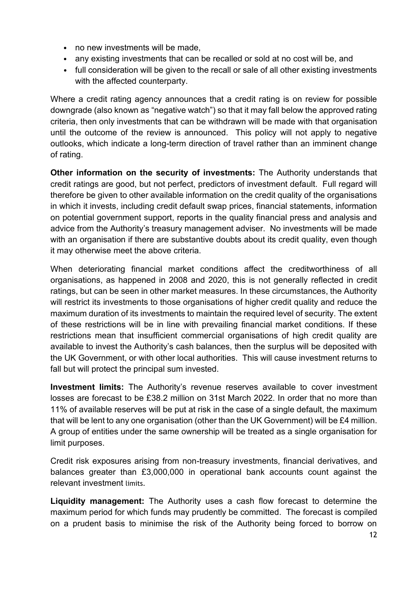- no new investments will be made,
- any existing investments that can be recalled or sold at no cost will be, and
- full consideration will be given to the recall or sale of all other existing investments with the affected counterparty.

Where a credit rating agency announces that a credit rating is on review for possible downgrade (also known as "negative watch") so that it may fall below the approved rating criteria, then only investments that can be withdrawn will be made with that organisation until the outcome of the review is announced. This policy will not apply to negative outlooks, which indicate a long-term direction of travel rather than an imminent change of rating.

**Other information on the security of investments:** The Authority understands that credit ratings are good, but not perfect, predictors of investment default. Full regard will therefore be given to other available information on the credit quality of the organisations in which it invests, including credit default swap prices, financial statements, information on potential government support, reports in the quality financial press and analysis and advice from the Authority's treasury management adviser. No investments will be made with an organisation if there are substantive doubts about its credit quality, even though it may otherwise meet the above criteria.

When deteriorating financial market conditions affect the creditworthiness of all organisations, as happened in 2008 and 2020, this is not generally reflected in credit ratings, but can be seen in other market measures. In these circumstances, the Authority will restrict its investments to those organisations of higher credit quality and reduce the maximum duration of its investments to maintain the required level of security. The extent of these restrictions will be in line with prevailing financial market conditions. If these restrictions mean that insufficient commercial organisations of high credit quality are available to invest the Authority's cash balances, then the surplus will be deposited with the UK Government, or with other local authorities. This will cause investment returns to fall but will protect the principal sum invested.

**Investment limits:** The Authority's revenue reserves available to cover investment losses are forecast to be £38.2 million on 31st March 2022. In order that no more than 11% of available reserves will be put at risk in the case of a single default, the maximum that will be lent to any one organisation (other than the UK Government) will be £4 million. A group of entities under the same ownership will be treated as a single organisation for limit purposes.

Credit risk exposures arising from non-treasury investments, financial derivatives, and balances greater than £3,000,000 in operational bank accounts count against the relevant investment limits.

**Liquidity management:** The Authority uses a cash flow forecast to determine the maximum period for which funds may prudently be committed. The forecast is compiled on a prudent basis to minimise the risk of the Authority being forced to borrow on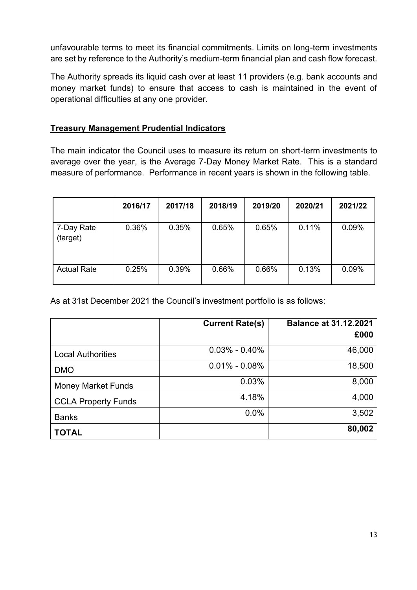unfavourable terms to meet its financial commitments. Limits on long-term investments are set by reference to the Authority's medium-term financial plan and cash flow forecast.

The Authority spreads its liquid cash over at least 11 providers (e.g. bank accounts and money market funds) to ensure that access to cash is maintained in the event of operational difficulties at any one provider.

#### **Treasury Management Prudential Indicators**

The main indicator the Council uses to measure its return on short-term investments to average over the year, is the Average 7-Day Money Market Rate. This is a standard measure of performance. Performance in recent years is shown in the following table.

|                        | 2016/17 | 2017/18 | 2018/19 | 2019/20 | 2020/21 | 2021/22 |
|------------------------|---------|---------|---------|---------|---------|---------|
| 7-Day Rate<br>(target) | 0.36%   | 0.35%   | 0.65%   | 0.65%   | 0.11%   | 0.09%   |
| <b>Actual Rate</b>     | 0.25%   | 0.39%   | 0.66%   | 0.66%   | 0.13%   | 0.09%   |

As at 31st December 2021 the Council's investment portfolio is as follows:

|                            | <b>Current Rate(s)</b> | <b>Balance at 31.12.2021</b> |
|----------------------------|------------------------|------------------------------|
|                            |                        | £000                         |
| <b>Local Authorities</b>   | $0.03\% - 0.40\%$      | 46,000                       |
| <b>DMO</b>                 | $0.01\% - 0.08\%$      | 18,500                       |
| <b>Money Market Funds</b>  | 0.03%                  | 8,000                        |
| <b>CCLA Property Funds</b> | 4.18%                  | 4,000                        |
| <b>Banks</b>               | 0.0%                   | 3,502                        |
| <b>TOTAL</b>               |                        | 80,002                       |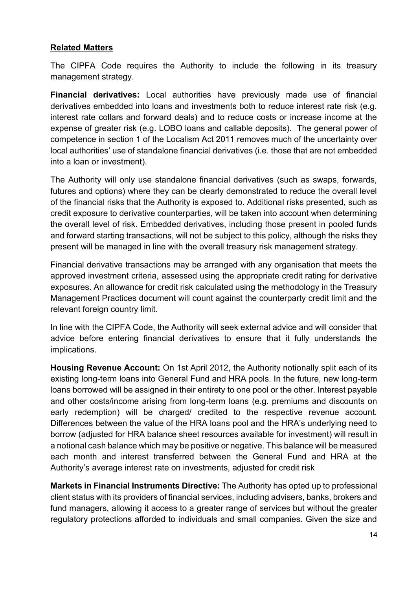#### **Related Matters**

The CIPFA Code requires the Authority to include the following in its treasury management strategy.

**Financial derivatives:** Local authorities have previously made use of financial derivatives embedded into loans and investments both to reduce interest rate risk (e.g. interest rate collars and forward deals) and to reduce costs or increase income at the expense of greater risk (e.g. LOBO loans and callable deposits). The general power of competence in section 1 of the Localism Act 2011 removes much of the uncertainty over local authorities' use of standalone financial derivatives (i.e. those that are not embedded into a loan or investment).

The Authority will only use standalone financial derivatives (such as swaps, forwards, futures and options) where they can be clearly demonstrated to reduce the overall level of the financial risks that the Authority is exposed to. Additional risks presented, such as credit exposure to derivative counterparties, will be taken into account when determining the overall level of risk. Embedded derivatives, including those present in pooled funds and forward starting transactions, will not be subject to this policy, although the risks they present will be managed in line with the overall treasury risk management strategy.

Financial derivative transactions may be arranged with any organisation that meets the approved investment criteria, assessed using the appropriate credit rating for derivative exposures. An allowance for credit risk calculated using the methodology in the Treasury Management Practices document will count against the counterparty credit limit and the relevant foreign country limit.

In line with the CIPFA Code, the Authority will seek external advice and will consider that advice before entering financial derivatives to ensure that it fully understands the implications.

**Housing Revenue Account:** On 1st April 2012, the Authority notionally split each of its existing long-term loans into General Fund and HRA pools. In the future, new long-term loans borrowed will be assigned in their entirety to one pool or the other. Interest payable and other costs/income arising from long-term loans (e.g. premiums and discounts on early redemption) will be charged/ credited to the respective revenue account. Differences between the value of the HRA loans pool and the HRA's underlying need to borrow (adjusted for HRA balance sheet resources available for investment) will result in a notional cash balance which may be positive or negative. This balance will be measured each month and interest transferred between the General Fund and HRA at the Authority's average interest rate on investments, adjusted for credit risk

**Markets in Financial Instruments Directive:** The Authority has opted up to professional client status with its providers of financial services, including advisers, banks, brokers and fund managers, allowing it access to a greater range of services but without the greater regulatory protections afforded to individuals and small companies. Given the size and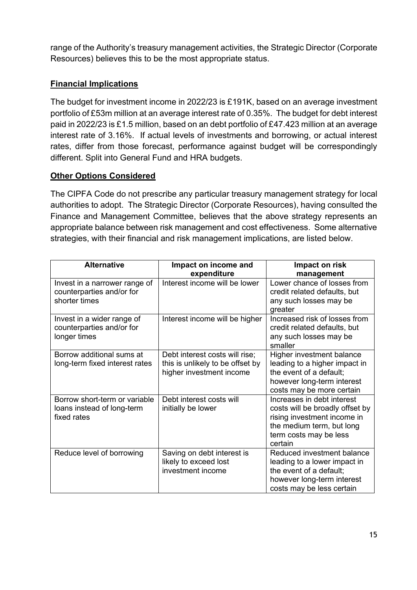range of the Authority's treasury management activities, the Strategic Director (Corporate Resources) believes this to be the most appropriate status.

#### **Financial Implications**

The budget for investment income in 2022/23 is £191K, based on an average investment portfolio of £53m million at an average interest rate of 0.35%. The budget for debt interest paid in 2022/23 is £1.5 million, based on an debt portfolio of £47.423 million at an average interest rate of 3.16%. If actual levels of investments and borrowing, or actual interest rates, differ from those forecast, performance against budget will be correspondingly different. Split into General Fund and HRA budgets.

#### **Other Options Considered**

The CIPFA Code do not prescribe any particular treasury management strategy for local authorities to adopt. The Strategic Director (Corporate Resources), having consulted the Finance and Management Committee, believes that the above strategy represents an appropriate balance between risk management and cost effectiveness. Some alternative strategies, with their financial and risk management implications, are listed below.

| <b>Alternative</b>                                                          | Impact on income and<br>expenditure                                                            | Impact on risk<br>management                                                                                                                                   |
|-----------------------------------------------------------------------------|------------------------------------------------------------------------------------------------|----------------------------------------------------------------------------------------------------------------------------------------------------------------|
| Invest in a narrower range of<br>counterparties and/or for<br>shorter times | Interest income will be lower                                                                  | Lower chance of losses from<br>credit related defaults, but<br>any such losses may be<br>greater                                                               |
| Invest in a wider range of<br>counterparties and/or for<br>longer times     | Interest income will be higher                                                                 | Increased risk of losses from<br>credit related defaults, but<br>any such losses may be<br>smaller                                                             |
| Borrow additional sums at<br>long-term fixed interest rates                 | Debt interest costs will rise;<br>this is unlikely to be offset by<br>higher investment income | Higher investment balance<br>leading to a higher impact in<br>the event of a default;<br>however long-term interest<br>costs may be more certain               |
| Borrow short-term or variable<br>loans instead of long-term<br>fixed rates  | Debt interest costs will<br>initially be lower                                                 | Increases in debt interest<br>costs will be broadly offset by<br>rising investment income in<br>the medium term, but long<br>term costs may be less<br>certain |
| Reduce level of borrowing                                                   | Saving on debt interest is<br>likely to exceed lost<br>investment income                       | Reduced investment balance<br>leading to a lower impact in<br>the event of a default;<br>however long-term interest<br>costs may be less certain               |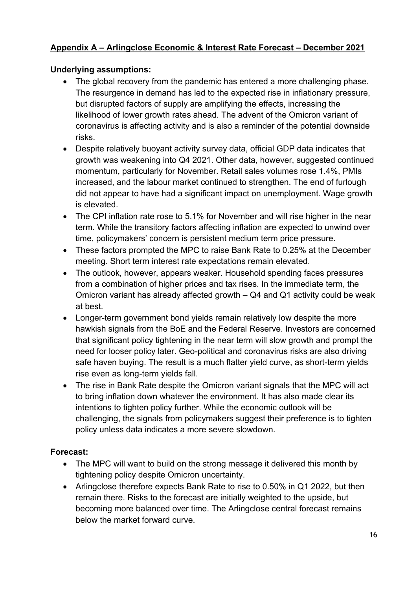#### **Appendix A – Arlingclose Economic & Interest Rate Forecast – December 2021**

#### **Underlying assumptions:**

- The global recovery from the pandemic has entered a more challenging phase. The resurgence in demand has led to the expected rise in inflationary pressure, but disrupted factors of supply are amplifying the effects, increasing the likelihood of lower growth rates ahead. The advent of the Omicron variant of coronavirus is affecting activity and is also a reminder of the potential downside risks.
- Despite relatively buoyant activity survey data, official GDP data indicates that growth was weakening into Q4 2021. Other data, however, suggested continued momentum, particularly for November. Retail sales volumes rose 1.4%, PMIs increased, and the labour market continued to strengthen. The end of furlough did not appear to have had a significant impact on unemployment. Wage growth is elevated.
- The CPI inflation rate rose to 5.1% for November and will rise higher in the near term. While the transitory factors affecting inflation are expected to unwind over time, policymakers' concern is persistent medium term price pressure.
- These factors prompted the MPC to raise Bank Rate to 0.25% at the December meeting. Short term interest rate expectations remain elevated.
- The outlook, however, appears weaker. Household spending faces pressures from a combination of higher prices and tax rises. In the immediate term, the Omicron variant has already affected growth – Q4 and Q1 activity could be weak at best.
- Longer-term government bond yields remain relatively low despite the more hawkish signals from the BoE and the Federal Reserve. Investors are concerned that significant policy tightening in the near term will slow growth and prompt the need for looser policy later. Geo-political and coronavirus risks are also driving safe haven buying. The result is a much flatter yield curve, as short-term yields rise even as long-term yields fall.
- The rise in Bank Rate despite the Omicron variant signals that the MPC will act to bring inflation down whatever the environment. It has also made clear its intentions to tighten policy further. While the economic outlook will be challenging, the signals from policymakers suggest their preference is to tighten policy unless data indicates a more severe slowdown.

#### **Forecast:**

- The MPC will want to build on the strong message it delivered this month by tightening policy despite Omicron uncertainty.
- Arlingclose therefore expects Bank Rate to rise to 0.50% in Q1 2022, but then remain there. Risks to the forecast are initially weighted to the upside, but becoming more balanced over time. The Arlingclose central forecast remains below the market forward curve.